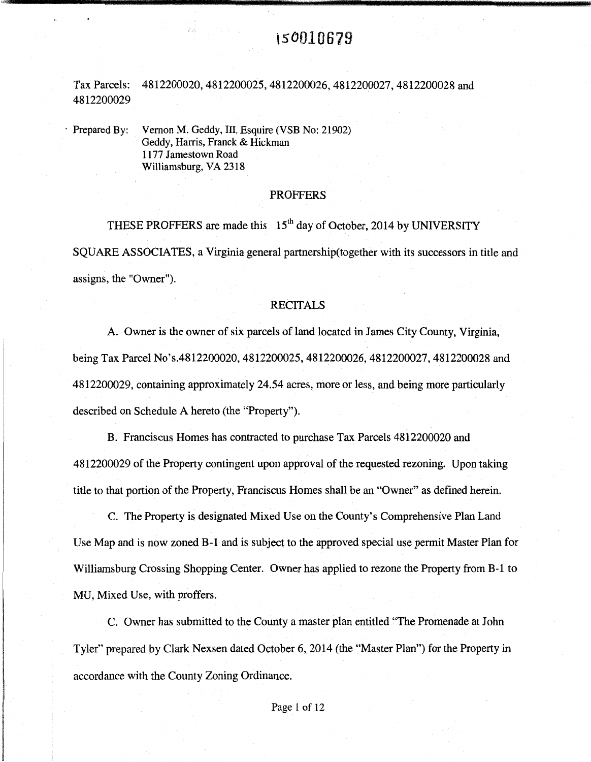# \50010679

Tax Parcels: 4812200020, 4812200025, 4812200026, 4812200027, 4812200028 and 4812200029

· Prepared By: Vernon M. Geddy, III, Esquire (VSB No: 21902) Geddy, Harris, Franck & Hickman 1177 Jamestown Road Williamsburg, VA 2318

## PROFFERS

THESE PROFFERS are made this 15<sup>th</sup> day of October, 2014 by UNIVERSITY SQUARE ASSOCIATES, a Virginia general partnership(together with its successors in title and assigns, the "Owner").

## RECITALS

A. Owner is the owner of six parcels of land located in James City County, Virginia, being Tax Parcel No's.4812200020, 4812200025, 4812200026, 4812200027, 4812200028 and 4812200029, containing approximately 24.54 acres, more or less, and being more particularly described on Schedule A hereto (the "Property").

B. Franciscus Homes has contracted to purchase Tax Parcels 4812200020 and 4812200029 of the Property contingent upon approval of the requested rezoning. Upon taking title to that portion of the Property, Franciscus Homes shall be an "Owner" as defined herein.

C. The Property is designated Mixed Use on the County's Comprehensive Plan Land Use Map and is now zoned B-1 and is subject to the approved special use permit Master Plan for Williamsburg Crossing Shopping Center. Owner has applied to rezone the Property from B-1 to MU, Mixed Use, with proffers.

C. Owner has submitted to the County a master plan entitled "The Promenade at John Tyler" prepared by Clark Nexsen dated October 6, 2014 (the "Master Plan") for the Property in accordance with the County Zoning Ordinance.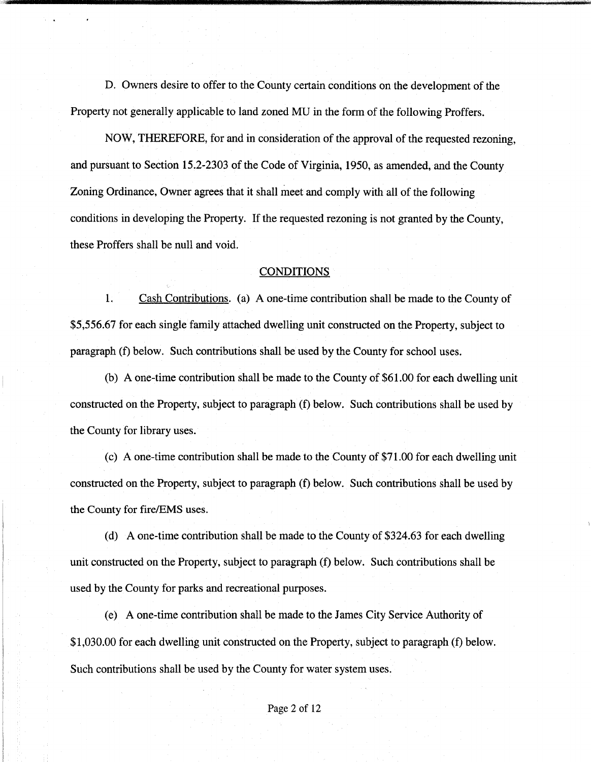D. Owners desire to offer to the County certain conditions on the development of the Property not generally applicable to land zoned MU in the form of the following Proffers.

NOW, THEREFORE, for and in consideration of the approval of the requested rezoning, and pursuant to Section 15.2-2303 of the Code of Virginia, 1950, as amended, and the County Zoning Ordinance, Owner agrees that it shall meet and comply with all of the following conditions in developing the Property. If the requested rezoning is not granted by the County, these Proffers shall be null and void.

## **CONDITIONS**

1. Cash Contributions. (a) A one-time contribution shall be made to the County of \$5,556.67 for each single family attached dwelling unit constructed on the Property, subject to paragraph (f) below. Such contributions shall be used by the County for school uses.

(b) A one-time contribution shall be made to the County of \$61.00 for each dwelling unit constructed on the Property, subject to paragraph (f) below. Such contributions shall be used by the County for library uses.

(c) A one-time contribution shall be made to the County of \$71.00 for each dwelling unit constructed on the Property, subject to paragraph (f) below. Such contributions shall be used by the County for fire/EMS uses.

(d) A one-time contribution shall be made to the County of \$324.63 for each dwelling unit constructed on the Property, subject to paragraph (f) below. Such contributions shall be used by the County for parks and recreational purposes.

(e) A one-time contribution shall be made to the James City Service Authority of \$1,030.00 for each dwelling unit constructed on the Property, subject to paragraph (f) below. Such contributions shall be used by the County for water system uses.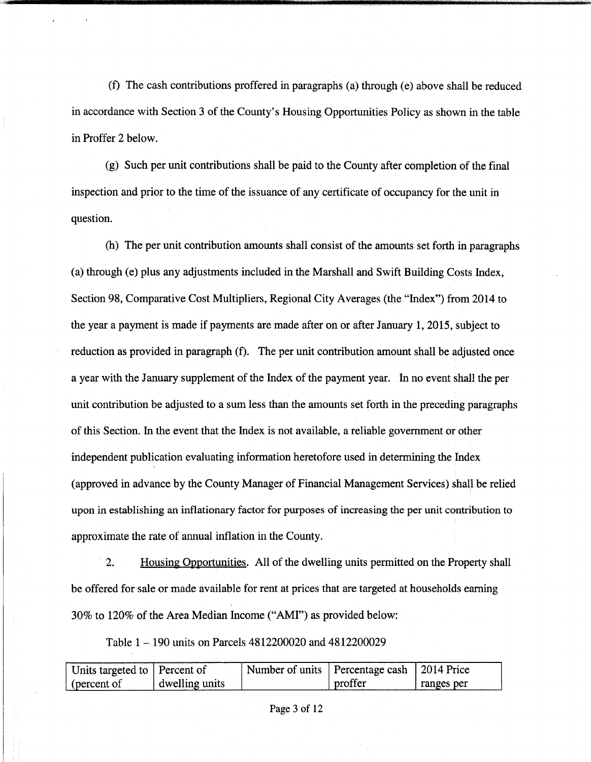(t) The cash contributions proffered in paragraphs (a) through (e) above shall be reduced in accordance with Section 3 of the County's Housing Opportunities Policy as shown in the table in Proffer 2 below.

(g) Such per unit contributions shall be paid to the County after completion of the final inspection and prior to the time of the issuance of any certificate of occupancy for the unit in question.

(h) The per unit contribution amounts shall consist of the amounts set forth in paragraphs (a) through (e) plus any adjustments included in the Marshall and Swift Building Costs Index, Section 98, Comparative Cost Multipliers, Regional City Averages (the "Index") from 2014 to the year a payment is made if payments are made after on or after January 1, 2015, subject to reduction as provided in paragraph (f). The per unit contribution amount shall be adjusted once a year with the January supplement of the Index of the payment year. In no event shall the per unit contribution be adjusted to a sum less than the amounts set forth in the preceding paragraphs of this Section. In the event that the Index is not available, a reliable government or other independent publication evaluating information heretofore used in determining the Index ' ( approved in advance by the County Manager of Financial Management Services) shall be relied upon in establishing an inflationary factor for purposes of increasing the per unit contribution to approximate the rate of annual inflation in the County.

2. Housing Opportunities. All of the dwelling units permitted on the Property shall be offered for sale or made available for rent at prices that are targeted at households earning 30% to 120% of the Area Median Income ("AMI") as provided below:

Table 1 - 190 units on Parcels 4812200020 and 4812200029

| Units targeted to Percent of |                | Number of units   Percentage cash   2014 Price |         |            |
|------------------------------|----------------|------------------------------------------------|---------|------------|
| (percent of                  | dwelling units |                                                | proffer | ranges per |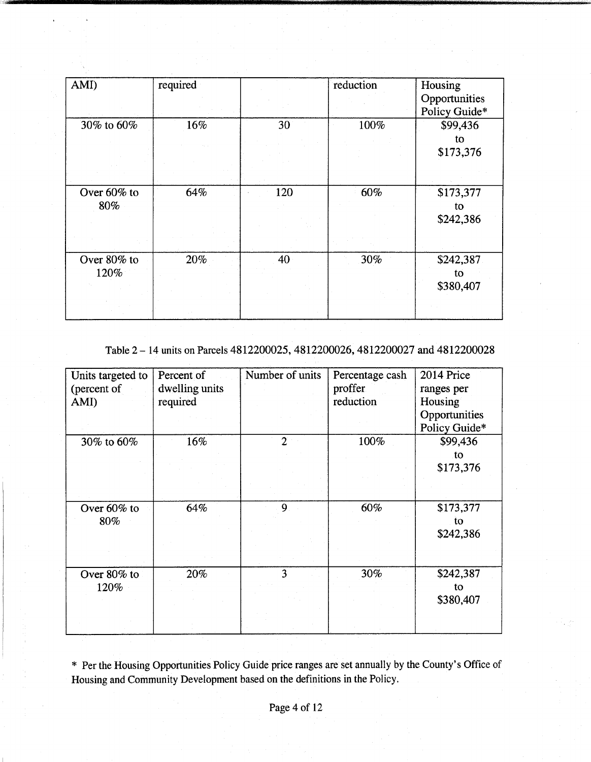| AMI)        | required |     | reduction | Housing                        |
|-------------|----------|-----|-----------|--------------------------------|
|             |          |     |           | Opportunities<br>Policy Guide* |
| 30% to 60%  | 16%      | 30  | 100%      | \$99,436                       |
|             |          |     |           | to<br>\$173,376                |
|             |          |     |           |                                |
| Over 60% to | 64%      | 120 | 60%       | \$173,377                      |
| 80%         |          |     |           | $\mathsf{to}$                  |
|             |          |     |           | \$242,386                      |
|             |          |     |           |                                |
| Over 80% to | 20%      | 40  | 30%       | \$242,387                      |
| 120%        |          |     |           | to                             |
|             |          |     |           | \$380,407                      |
|             |          |     |           |                                |

Table 2- 14 units on Parcels 4812200025, 4812200026, 4812200027 and 4812200028

| Units targeted to | Percent of     | Number of units | Percentage cash | 2014 Price    |
|-------------------|----------------|-----------------|-----------------|---------------|
| (percent of       | dwelling units |                 | proffer         | ranges per    |
| AMI)              | required       |                 | reduction       | Housing       |
|                   |                |                 |                 | Opportunities |
|                   |                |                 |                 | Policy Guide* |
| 30% to 60%        | 16%            | $\mathcal{D}$   | 100%            | \$99,436      |
|                   |                |                 |                 | to            |
|                   |                |                 |                 | \$173,376     |
|                   |                |                 |                 |               |
|                   |                |                 |                 |               |
| Over 60% to       | 64%            | 9               | 60%             | \$173,377     |
| 80%               |                |                 |                 | to            |
|                   |                |                 |                 | \$242,386     |
|                   |                |                 |                 |               |
|                   |                |                 |                 |               |
| Over 80% to       | 20%            | 3               | 30%             | \$242,387     |
| 120%              |                |                 |                 | to            |
|                   |                |                 |                 | \$380,407     |
|                   |                |                 |                 |               |
|                   |                |                 |                 |               |

\* Per the Housing Opportunities Policy Guide price ranges are set annually by the County's Office of Housing and Community Development based on the definitions in the Policy.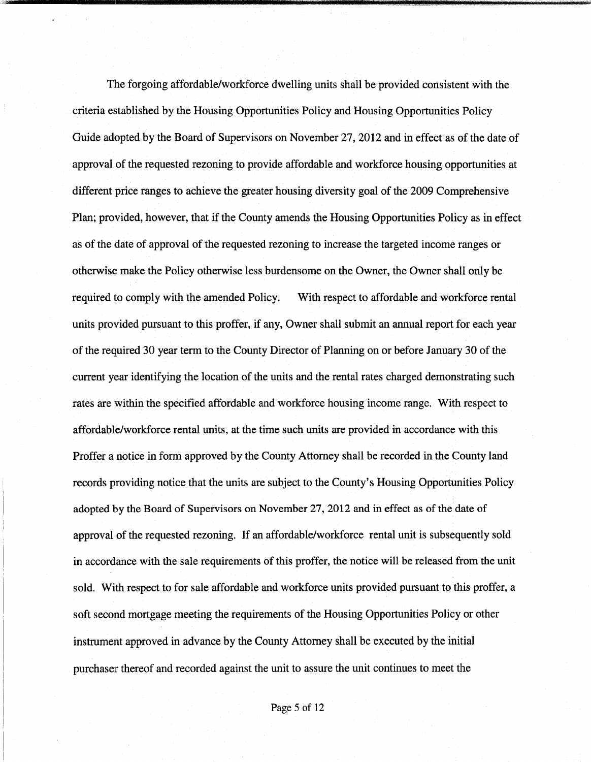The forgoing affordable/workforce dwelling units shall be provided consistent with the criteria established by the Housing Opportunities Policy and Housing Opportunities Policy Guide adopted by the Board of Supervisors on November 27, 2012 and in effect as of the date of approval of the requested rezoning to provide affordable and workforce housing opportunities at different price ranges to achieve the greater housing diversity goal of the 2009 Comprehensive Plan; provided, however, that if the County amends the Housing Opportunities Policy as in effect as of the date of approval of the requested rezoning to increase the targeted income ranges or otherwise make the Policy otherwise less burdensome on the Owner, the Owner shall only be required to comply with the amended Policy. With respect to affordable and workforce rental units provided pursuant to this proffer, if any, Owner shall submit an annual report for each year of the required 30 year term to the County Director of Planning on or before January 30 of the current year identifying the location of the units and the rental rates charged demonstrating such rates are within the specified affordable and workforce housing income range. With respect to affordable/workforce rental units, at the time such units are provided in accordance with this Proffer a notice in form approved by the County Attorney shall be recorded in the County land records providing notice that the units are subject to the County's Housing Opportunities Policy adopted by the Board of Supervisors on November 27, 2012 and in effect as of the date of approval of the requested rezoning. If an affordable/workforce rental unit is subsequently sold in accordance with the sale requirements of this proffer, the notice will be released from the unit sold. With respect to for sale affordable and workforce units provided pursuant to this proffer, a soft second mortgage meeting the requirements of the Housing Opportunities Policy or other instrument approved in advance by the County Attorney shall be executed by the initial purchaser thereof and recorded against the unit to assure the unit continues to meet the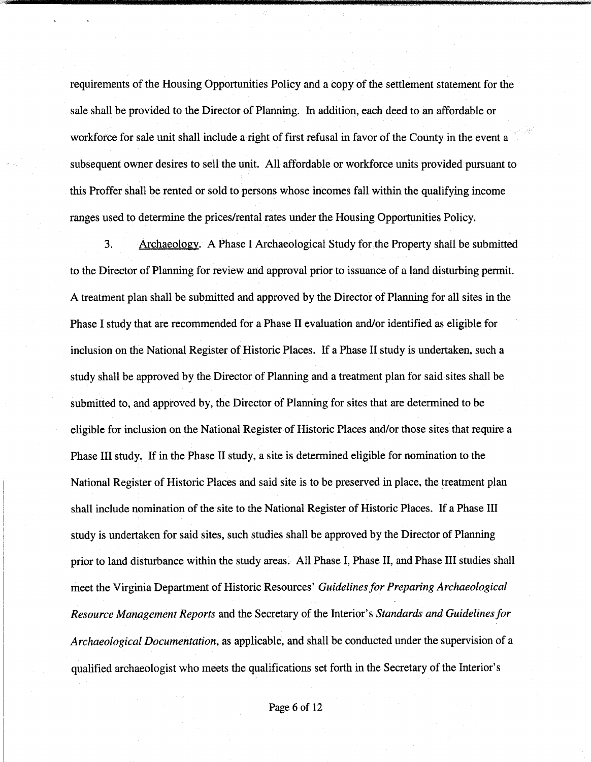requirements of the Housing Opportunities Policy and a copy of the settlement statement for the sale shall be provided to the Director of Planning. In addition, each deed to an affordable or workforce for sale unit shall include a right of first refusal in favor of the County in the event a subsequent owner desires to sell the unit. All affordable or workforce units provided pursuant to this Proffer shall be rented or sold to persons whose incomes fall within the qualifying income ranges used to determine the prices/rental rates under the Housing Opportunities Policy.

3. Archaeology. A Phase I Archaeological Study for the Property shall be submitted to the Director of Planning for review and approval prior to issuance of a land disturbing permit. A treatment plan shall be submitted and approved by the Director of Planning for all sites in the Phase I study that are recommended for a Phase II evaluation and/or identified as eligible for inclusion on the National Register of Historic Places. If a Phase II study is undertaken, such a study shall be approved by the Director of Planning and a treatment plan for said sites shall be submitted to, and approved by, the Director of Planning for sites that are determined to be eligible for inclusion on the National Register of Historic Places and/or those sites that require a Phase III study. If in the Phase II study, a site is determined eligible for nomination to the National Register of Historic Places and said site is to be preserved in place, the treatment plan shall include nomination of the site to the National Register of Historic Places. If a Phase III study is undertaken for said sites, such studies shall be approved by the Director of Planning prior to land disturbance within the study areas. All Phase I, Phase II, and Phase III studies shall meet the Virginia Department of Historic Resources' *Guidelines for Preparing Archaeological Resource Management Reports* and the Secretary of the Interior's *Standards and Guidelines for Archaeological Documentation,* as applicable, and shall be conducted under the supervision of a qualified archaeologist who meets the qualifications set forth in the Secretary of the Interior's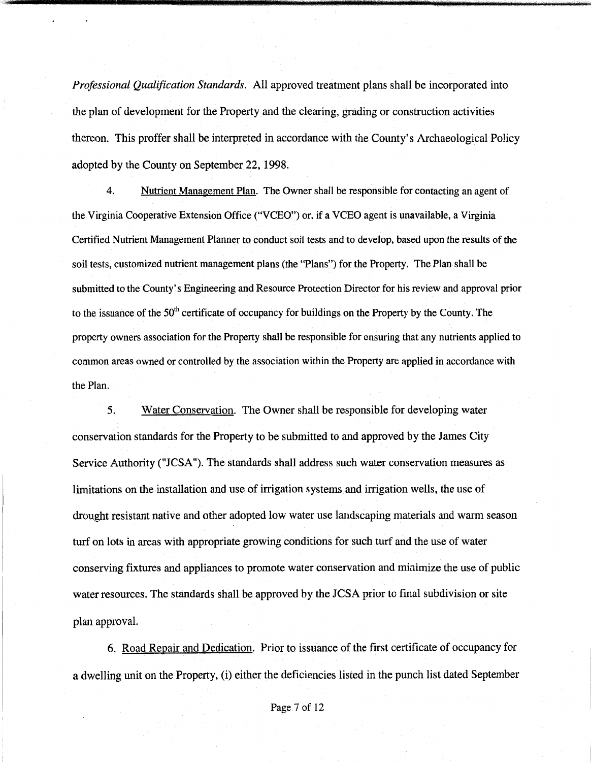*Professional Qualification Standards.* All approved treatment plans shall be incorporated into the plan of development for the Property and the clearing, grading or construction activities thereon. This proffer shall be interpreted in accordance with the County's Archaeological Policy adopted by the County on September 22, 1998.

4. Nutrient Management Plan. The Owner shall be responsible for contacting an agent of the Virginia Cooperative Extension Office ("VCEO") or, if a VCEO agent is unavailable, a Virginia Certified Nutrient Management Planner to conduct soil tests and to develop, based upon the results of the soil tests, customized nutrient management plans (the "Plans") for the Property. The Plan shall be submitted to the County's Engineering and Resource Protection Director for his review and approval prior to the issuance of the 50<sup>th</sup> certificate of occupancy for buildings on the Property by the County. The property owners association for the Property shall be responsible for ensuring that any nutrients applied to common areas owned or controlled by the association within the Property are applied in accordance with the Plan.

5. Water Conservation. The Owner shall be responsible for developing water conservation standards for the Property to be submitted to and approved by the James City Service Authority ("JCSA"). The standards shall address such water conservation measures as limitations on the installation and use of irrigation systems and irrigation wells, the use of drought resistant native and other adopted low water use landscaping materials and warm season turf on lots in areas with appropriate growing conditions for such turf and the use of water conserving fixtures and appliances to promote water conservation and minimize the use of public water resources. The standards shall be approved by the JCSA prior to final subdivision or site plan approval.

6. Road Repair and Dedication. Prior to issuance of the first certificate of occupancy for a dwelling unit on the Property, (i) either the deficiencies listed in the punch list dated September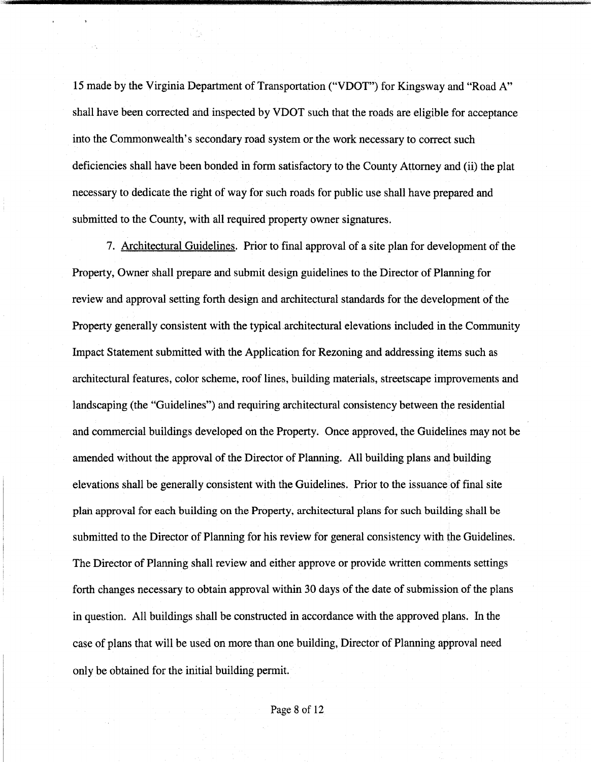15 made by the Virginia Department of Transportation ("VDOT") for Kingsway and "Road A" shall have been corrected and inspected by VDOT such that the roads are eligible for acceptance into the Commonwealth's secondary road system or the work necessary to correct such deficiencies shall have been bonded in form satisfactory to the County Attorney and (ii) the plat necessary to dedicate the right of way for such roads for public use shall have prepared and submitted to the County, with all required property owner signatures.

7. Architectural Guidelines. Prior to final approval of a site plan for development of the Property, Owner shall prepare and submit design guidelines to the Director of Planning for review and approval setting forth design and architectural standards for the development of the Property generally consistent with the typical architectural elevations included in the Community Impact Statement submitted with the Application for Rezoning and addressing items such as architectural features, color scheme, roof lines, building materials, streetscape improvements and landscaping (the "Guidelines") and requiring architectural consistency between the residential and commercial buildings developed on the Property. Once approved, the Guidelines may not be amended without the approval of the Director of Planning. All building plans and building elevations shall be generally consistent with the Guidelines. Prior to the issuance of final site plan approval for each building on the Property, architectural plans for such building shall be submitted to the Director of Planning for his review for general consistency with the Guidelines. The Director of Planning shall review and either approve or provide written comments settings forth changes necessary to obtain approval within 30 days of the date of submission of the plans in question. All buildings shall be constructed in accordance with the approved plans. In the case of plans that will be used on more than one building, Director of Planning approval need only be obtained for the initial building permit.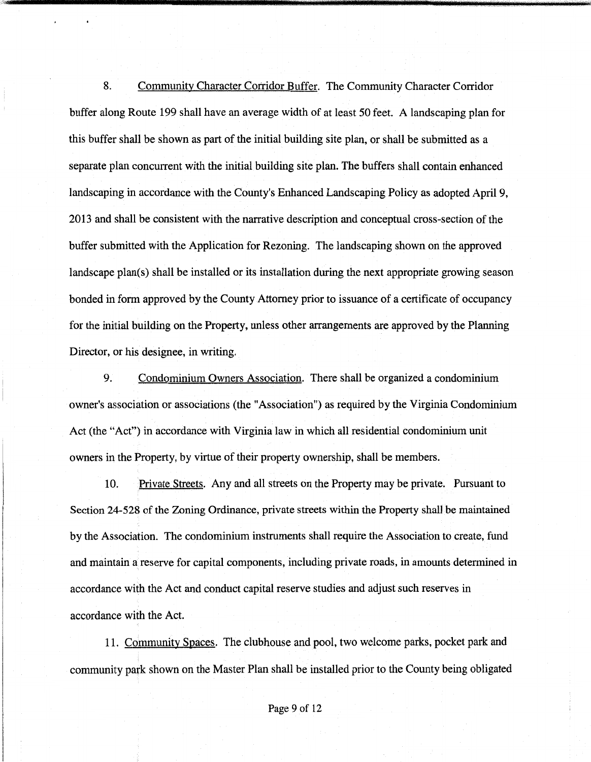8. Community Character Corridor Buffer. The Community Character Corridor buffer along Route 199 shall have an average width of at least 50 feet. A landscaping plan for this buffer shall be shown as part of the initial building site plan, or shall be submitted as a separate plan concurrent with the initial building site plan. The buffers shall contain enhanced landscaping in accordance with the County's Enhanced Landscaping Policy as adopted April 9, 2013 and shall be consistent with the narrative description and conceptual cross-section of the buffer submitted with the Application for Rezoning. The landscaping shown on the approved landscape plan(s) shall be installed or its installation during the next appropriate growing season bonded in form approved by the County Attorney prior to issuance of a certificate of occupancy for the initial building on the Property, unless other arrangements are approved by the Planning Director, or his designee, in writing.

9. Condominium Owners Association. There shall be organized a condominium owner's association or associations (the "Association") as required by the Virginia Condominium Act (the "Act") in accordance with Virginia law in which all residential condominium unit owners in the Property, by virtue of their property ownership, shall be members.

10. Private Streets. Any and all streets on the Property may be private. Pursuant to Section 24-528 of the Zoning Ordinance, private streets within the Property shall be maintained by the Association. The condominium instruments shall require the Association to create, fund and maintain a reserve for capital components, including private roads, in amounts determined in accordance with the Act and conduct capital reserve studies and adjust such reserves in accordance with the Act.

11. Community Spaces. The clubhouse and pool, two welcome parks, pocket park and community park shown on the Master Plan shall be installed prior to the County being obligated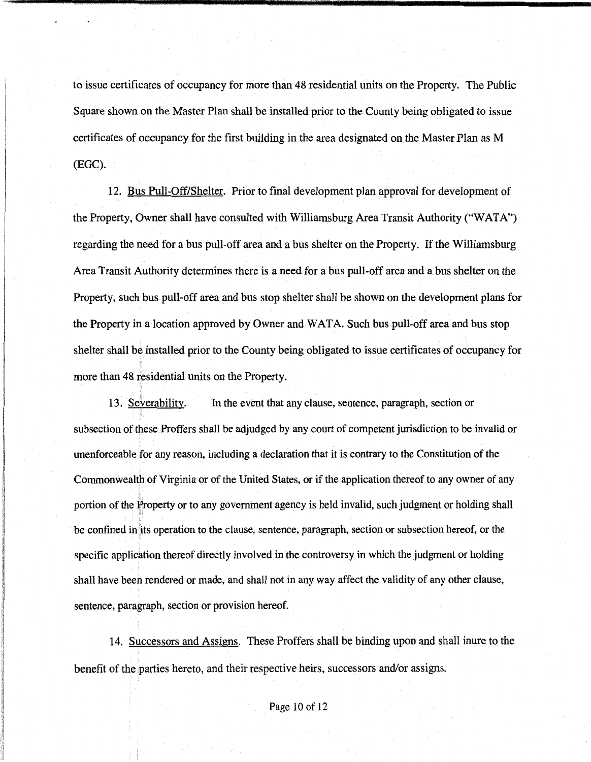to issue certificates of occupancy for more than 48 residential units on the Property. The Public Square shown on the Master Plan shall be installed prior to the County being obligated to issue certificates of occupancy for the first building in the area designated on the Master Plan as M (EGC).

12. Bus Pull-Off/Shelter. Prior to final development plan approval for development of the Property, Owner shall have consulted with Williamsburg Area Transit Authority ("WATA") regarding the need for a bus pull-off area and a bus shelter on the Property. If the Williamsburg Area Transit Authority determines there is a need for a bus pull-off area and a bus shelter on the Property, such bus pull-off area and bus stop shelter shall be shown on the development plans for the Property in a location approved by Owner and WATA. Such bus pull-off area and bus stop shelter shall be installed prior to the County being obligated to issue certificates of occupancy for more than 48 residential units on the Property.

13. Severability. In the event that any clause, sentence, paragraph, section or subsection of these Proffers shall be adjudged by any court of competent jurisdiction to be invalid or unenforceable for any reason, including a declaration that it is contrary to the Constitution of the ' Commonwealth of Virginia or of the United States, or if the application thereof to any owner of any portion of the Property or to any government agency is held invalid, such judgment or holding shall be confined in its operation to the clause, sentence, paragraph, section or subsection hereof, or the specific application thereof directly involved in the controversy in which the judgment or holding shall have been rendered or made, and shall not in any way affect the validity of any other clause, sentence, paragraph, section or provision hereof.

14. Successors and Assigns. These Proffers shall be binding upon and shall inure to the benefit of the parties hereto, and their respective heirs, successors and/or assigns.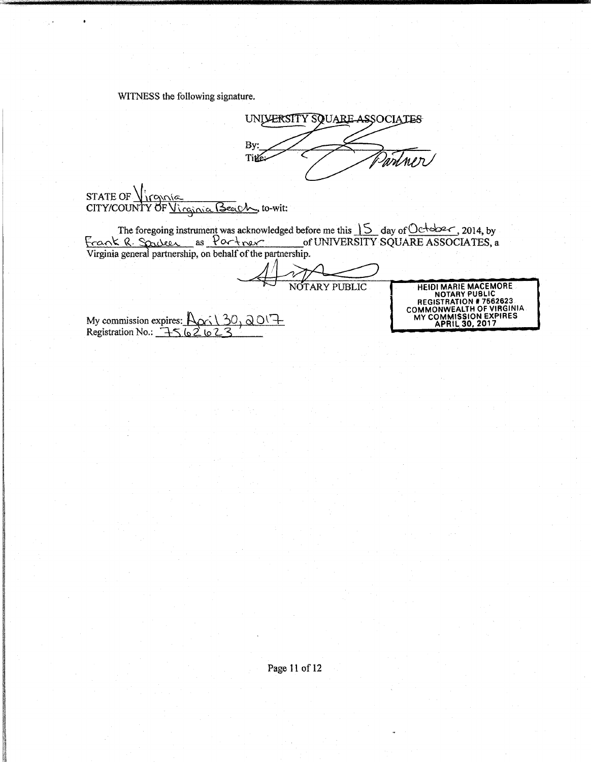WITNESS the following signature.

UNIVERSITY SQUARE ASSOCIATES By: **Title:** Winner

 $\text{STATE OF } \sqrt{\text{Cipole}}$ STATE OF Virgynia

The foregoing instrument was acknowledged before me this  $\frac{15}{2}$  day of October, 2014, by t,0.-0,~ Q. ~>,c,mA. as t'o..-\~ ofUNIVERSITY SQUARE ASSOCIATES.a Virginia general partnership, on behalf of the partnership.

NOTARY PUBLIC

My commission expires:  $\frac{\mathsf{p}_\mathrm{oc}\setminus 30,00^{17}}{\mathsf{Re}$ <br>Registration No.:  $15.62623$ 

**HEIDI MARIE MACEMORE**<br> **REGISTRATION # 7562623<br>
COMMONWEALTH OF VIRGINIA<br>
COMMONWEALTH OF VIRGINIA<br>
MY COMMISSION EXPIRES<br>
APRIL 30, 2017**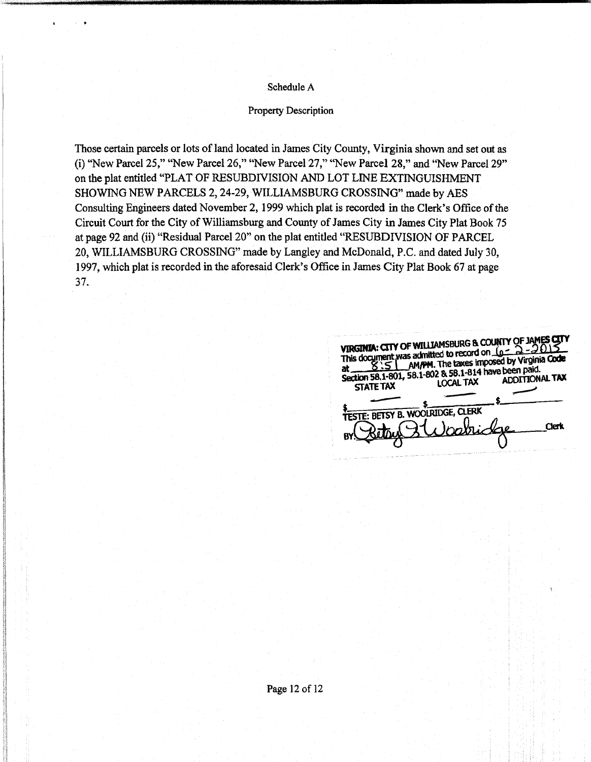## Schedule A

# Property Description

Those certain parcels or lots of land located in James City County, Virginia shown and set out as (i) "New Parcel 25," "New Parcel 26," "New Parcel 27," "New Parcel 28," and "New Parcel 29" on the plat entitled "PLAT OF RESUBDIVISION AND LOT LINE EXTINGUISHMENT SHOWING NEW PARCELS 2, 24-29, WILLIAMSBURG CROSSING" made by AES Consulting Engineers dated November 2, 1999 which plat is recorded in the Clerk's Office of the Circuit Court for the City of Williamsburg and County of James City in James City Plat Book 75 at page 92 and (ii) "Residual Parcel 20" on the plat entitled "RESUBDIVISION OF PARCEL 20, WILLIAMSBURG CROSSING" made by Langley and McDonald, P.C. and dated July 30, 1997, which plat is recorded in the aforesaid Clerk's Office in James City Plat Book 67 at page 37.

| VIRGINIA: CITY OF WILLIAMSBURG & COUNTY OF JAMES CITY<br>This document was admitted to record on $10 - 2 - 2015$<br>_AM/PM. The taxes imposed by Virginia Code<br>Section 58.1-801, 58.1-802 & 58.1-814 have been paid.<br>ADDITIONAL TAX<br><b>LOCAL TAX</b><br><b>STATE TAX</b> |       |
|-----------------------------------------------------------------------------------------------------------------------------------------------------------------------------------------------------------------------------------------------------------------------------------|-------|
| TESTE: BETSY B. WOOLRIDGE, CLERK                                                                                                                                                                                                                                                  | "leri |